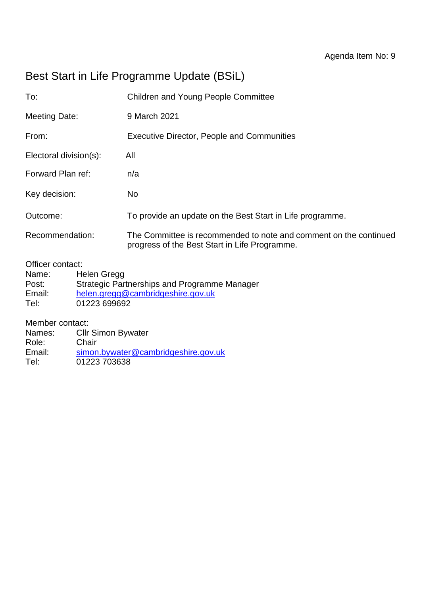# Best Start in Life Programme Update (BSiL)

| To:                    | <b>Children and Young People Committee</b>                                                                         |
|------------------------|--------------------------------------------------------------------------------------------------------------------|
| <b>Meeting Date:</b>   | 9 March 2021                                                                                                       |
| From:                  | <b>Executive Director, People and Communities</b>                                                                  |
| Electoral division(s): | All                                                                                                                |
| Forward Plan ref:      | n/a                                                                                                                |
| Key decision:          | No                                                                                                                 |
| Outcome:               | To provide an update on the Best Start in Life programme.                                                          |
| Recommendation:        | The Committee is recommended to note and comment on the continued<br>progress of the Best Start in Life Programme. |

Officer contact:

| Name:  | Helen Gregg                                  |
|--------|----------------------------------------------|
| Post:  | Strategic Partnerships and Programme Manager |
| Email: | helen.gregg@cambridgeshire.gov.uk            |
| Tel:   | 01223 699692                                 |

Member contact:

| Names: | <b>CIIr Simon Bywater</b>           |
|--------|-------------------------------------|
| Role:  | Chair                               |
| Email: | simon.bywater@cambridgeshire.gov.uk |
| Tel:   | 01223 703638                        |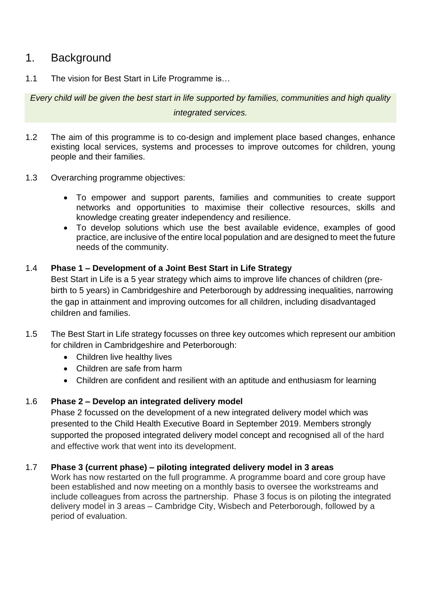## 1. Background

1.1 The vision for Best Start in Life Programme is…

*Every child will be given the best start in life supported by families, communities and high quality*

#### *integrated services.*

- 1.2 The aim of this programme is to co-design and implement place based changes, enhance existing local services, systems and processes to improve outcomes for children, young people and their families.
- 1.3 Overarching programme objectives:
	- To empower and support parents, families and communities to create support networks and opportunities to maximise their collective resources, skills and knowledge creating greater independency and resilience.
	- To develop solutions which use the best available evidence, examples of good practice, are inclusive of the entire local population and are designed to meet the future needs of the community.

#### 1.4 **Phase 1 – Development of a Joint Best Start in Life Strategy**

Best Start in Life is a 5 year strategy which aims to improve life chances of children (prebirth to 5 years) in Cambridgeshire and Peterborough by addressing inequalities, narrowing the gap in attainment and improving outcomes for all children, including disadvantaged children and families.

- 1.5 The Best Start in Life strategy focusses on three key outcomes which represent our ambition for children in Cambridgeshire and Peterborough:
	- Children live healthy lives
	- Children are safe from harm
	- Children are confident and resilient with an aptitude and enthusiasm for learning

### 1.6 **Phase 2 – Develop an integrated delivery model**

Phase 2 focussed on the development of a new integrated delivery model which was presented to the Child Health Executive Board in September 2019. Members strongly supported the proposed integrated delivery model concept and recognised all of the hard and effective work that went into its development.

#### 1.7 **Phase 3 (current phase) – piloting integrated delivery model in 3 areas**

Work has now restarted on the full programme. A programme board and core group have been established and now meeting on a monthly basis to oversee the workstreams and include colleagues from across the partnership. Phase 3 focus is on piloting the integrated delivery model in 3 areas – Cambridge City, Wisbech and Peterborough, followed by a period of evaluation.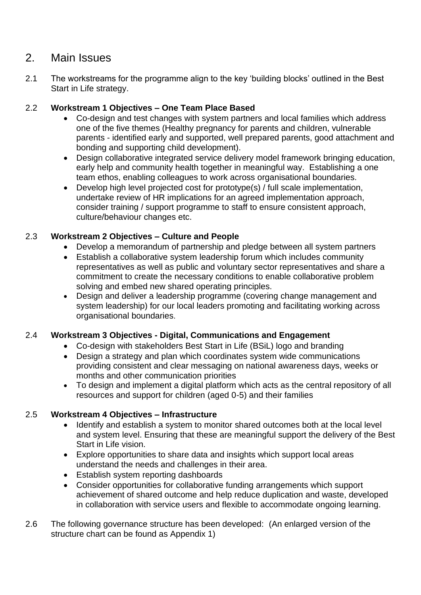### 2. Main Issues

2.1 The workstreams for the programme align to the key 'building blocks' outlined in the Best Start in Life strategy.

### 2.2 **Workstream 1 Objectives – One Team Place Based**

- Co-design and test changes with system partners and local families which address one of the five themes (Healthy pregnancy for parents and children, vulnerable parents - identified early and supported, well prepared parents, good attachment and bonding and supporting child development).
- Design collaborative integrated service delivery model framework bringing education, early help and community health together in meaningful way. Establishing a one team ethos, enabling colleagues to work across organisational boundaries.
- Develop high level projected cost for prototype(s) / full scale implementation, undertake review of HR implications for an agreed implementation approach, consider training / support programme to staff to ensure consistent approach, culture/behaviour changes etc.

### 2.3 **Workstream 2 Objectives – Culture and People**

- Develop a memorandum of partnership and pledge between all system partners
- Establish a collaborative system leadership forum which includes community representatives as well as public and voluntary sector representatives and share a commitment to create the necessary conditions to enable collaborative problem solving and embed new shared operating principles.
- Design and deliver a leadership programme (covering change management and system leadership) for our local leaders promoting and facilitating working across organisational boundaries.

### 2.4 **Workstream 3 Objectives - Digital, Communications and Engagement**

- Co-design with stakeholders Best Start in Life (BSiL) logo and branding
- Design a strategy and plan which coordinates system wide communications providing consistent and clear messaging on national awareness days, weeks or months and other communication priorities
- To design and implement a digital platform which acts as the central repository of all resources and support for children (aged 0-5) and their families

#### 2.5 **Workstream 4 Objectives – Infrastructure**

- Identify and establish a system to monitor shared outcomes both at the local level and system level. Ensuring that these are meaningful support the delivery of the Best Start in Life vision.
- Explore opportunities to share data and insights which support local areas understand the needs and challenges in their area.
- Establish system reporting dashboards
- Consider opportunities for collaborative funding arrangements which support achievement of shared outcome and help reduce duplication and waste, developed in collaboration with service users and flexible to accommodate ongoing learning.
- 2.6 The following governance structure has been developed: (An enlarged version of the structure chart can be found as Appendix 1)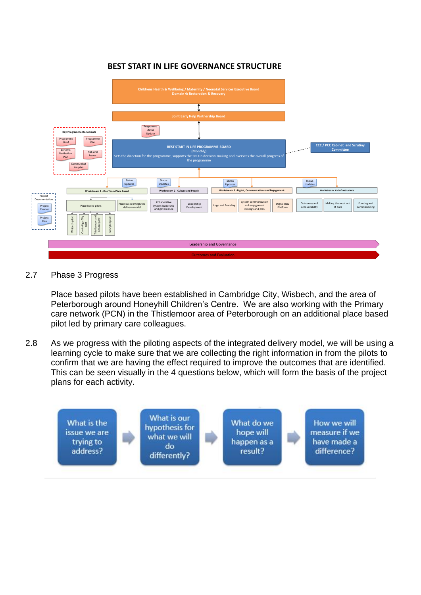#### **BEST START IN LIFE GOVERNANCE STRUCTURE**



#### 2.7 Phase 3 Progress

Place based pilots have been established in Cambridge City, Wisbech, and the area of Peterborough around Honeyhill Children's Centre. We are also working with the Primary care network (PCN) in the Thistlemoor area of Peterborough on an additional place based pilot led by primary care colleagues.

2.8 As we progress with the piloting aspects of the integrated delivery model, we will be using a learning cycle to make sure that we are collecting the right information in from the pilots to confirm that we are having the effect required to improve the outcomes that are identified. This can be seen visually in the 4 questions below, which will form the basis of the project plans for each activity.

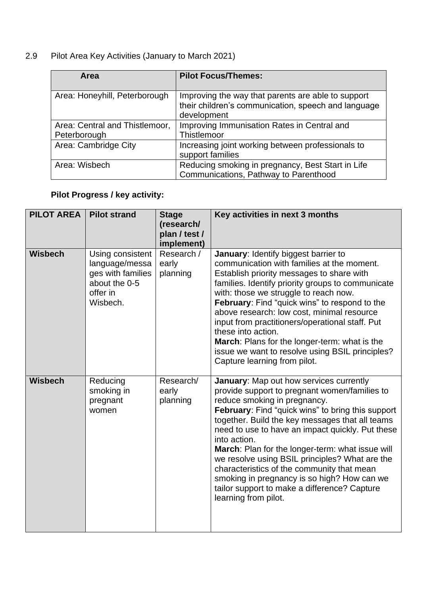# 2.9 Pilot Area Key Activities (January to March 2021)

| <b>Area</b>                    | <b>Pilot Focus/Themes:</b>                                                                                               |
|--------------------------------|--------------------------------------------------------------------------------------------------------------------------|
| Area: Honeyhill, Peterborough  | Improving the way that parents are able to support<br>their children's communication, speech and language<br>development |
| Area: Central and Thistlemoor, | Improving Immunisation Rates in Central and                                                                              |
| Peterborough                   | Thistlemoor                                                                                                              |
| Area: Cambridge City           | Increasing joint working between professionals to<br>support families                                                    |
| Area: Wisbech                  | Reducing smoking in pregnancy, Best Start in Life<br>Communications, Pathway to Parenthood                               |

# **Pilot Progress / key activity:**

| <b>PILOT AREA</b> | <b>Pilot strand</b>                                                                              | <b>Stage</b><br>(research/<br>plan / test /<br>implement) | Key activities in next 3 months                                                                                                                                                                                                                                                                                                                                                                                                                                                                                                                                                 |
|-------------------|--------------------------------------------------------------------------------------------------|-----------------------------------------------------------|---------------------------------------------------------------------------------------------------------------------------------------------------------------------------------------------------------------------------------------------------------------------------------------------------------------------------------------------------------------------------------------------------------------------------------------------------------------------------------------------------------------------------------------------------------------------------------|
| <b>Wisbech</b>    | Using consistent<br>language/messa<br>ges with families<br>about the 0-5<br>offer in<br>Wisbech. | Research /<br>early<br>planning                           | January: Identify biggest barrier to<br>communication with families at the moment.<br>Establish priority messages to share with<br>families. Identify priority groups to communicate<br>with: those we struggle to reach now.<br>February: Find "quick wins" to respond to the<br>above research: low cost, minimal resource<br>input from practitioners/operational staff. Put<br>these into action.<br>March: Plans for the longer-term: what is the<br>issue we want to resolve using BSIL principles?<br>Capture learning from pilot.                                       |
| <b>Wisbech</b>    | Reducing<br>smoking in<br>pregnant<br>women                                                      | Research/<br>early<br>planning                            | January: Map out how services currently<br>provide support to pregnant women/families to<br>reduce smoking in pregnancy.<br>February: Find "quick wins" to bring this support<br>together. Build the key messages that all teams<br>need to use to have an impact quickly. Put these<br>into action.<br>March: Plan for the longer-term: what issue will<br>we resolve using BSIL principles? What are the<br>characteristics of the community that mean<br>smoking in pregnancy is so high? How can we<br>tailor support to make a difference? Capture<br>learning from pilot. |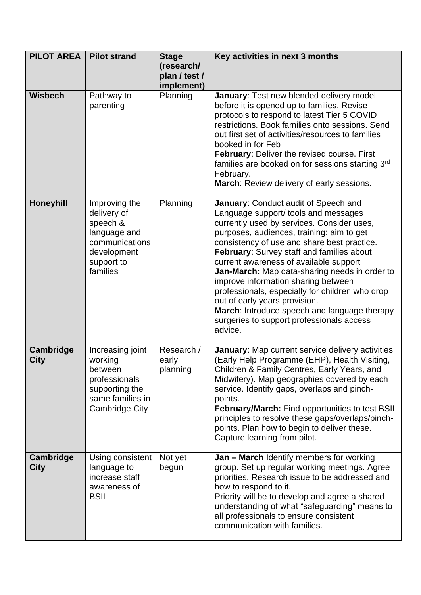| <b>PILOT AREA</b>        | <b>Pilot strand</b>                                                                                                 | <b>Stage</b><br>(research/<br>plan / test /<br>implement) | Key activities in next 3 months                                                                                                                                                                                                                                                                                                                                                                                                                                                                                                                                                                   |
|--------------------------|---------------------------------------------------------------------------------------------------------------------|-----------------------------------------------------------|---------------------------------------------------------------------------------------------------------------------------------------------------------------------------------------------------------------------------------------------------------------------------------------------------------------------------------------------------------------------------------------------------------------------------------------------------------------------------------------------------------------------------------------------------------------------------------------------------|
| <b>Wisbech</b>           | Pathway to<br>parenting                                                                                             | Planning                                                  | January: Test new blended delivery model<br>before it is opened up to families. Revise<br>protocols to respond to latest Tier 5 COVID<br>restrictions. Book families onto sessions. Send<br>out first set of activities/resources to families<br>booked in for Feb<br>February: Deliver the revised course. First<br>families are booked on for sessions starting 3rd<br>February.<br>March: Review delivery of early sessions.                                                                                                                                                                   |
| <b>Honeyhill</b>         | Improving the<br>delivery of<br>speech &<br>language and<br>communications<br>development<br>support to<br>families | Planning                                                  | January: Conduct audit of Speech and<br>Language support/ tools and messages<br>currently used by services. Consider uses,<br>purposes, audiences, training: aim to get<br>consistency of use and share best practice.<br>February: Survey staff and families about<br>current awareness of available support<br>Jan-March: Map data-sharing needs in order to<br>improve information sharing between<br>professionals, especially for children who drop<br>out of early years provision.<br>March: Introduce speech and language therapy<br>surgeries to support professionals access<br>advice. |
| Cambridge<br><b>City</b> | Increasing joint<br>working<br>between<br>professionals<br>supporting the<br>same families in<br>Cambridge City     | Research /<br>early<br>planning                           | January: Map current service delivery activities<br>(Early Help Programme (EHP), Health Visiting,<br>Children & Family Centres, Early Years, and<br>Midwifery). Map geographies covered by each<br>service. Identify gaps, overlaps and pinch-<br>points.<br>February/March: Find opportunities to test BSIL<br>principles to resolve these gaps/overlaps/pinch-<br>points. Plan how to begin to deliver these.<br>Capture learning from pilot.                                                                                                                                                   |
| Cambridge<br><b>City</b> | Using consistent<br>language to<br>increase staff<br>awareness of<br><b>BSIL</b>                                    | Not yet<br>begun                                          | <b>Jan - March Identify members for working</b><br>group. Set up regular working meetings. Agree<br>priorities. Research issue to be addressed and<br>how to respond to it.<br>Priority will be to develop and agree a shared<br>understanding of what "safeguarding" means to<br>all professionals to ensure consistent<br>communication with families.                                                                                                                                                                                                                                          |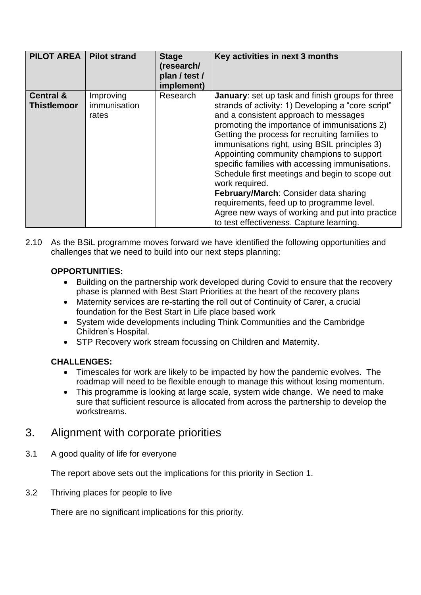| <b>PILOT AREA</b>                          | <b>Pilot strand</b>                | <b>Stage</b><br>(research/<br>plan / test /<br>implement) | Key activities in next 3 months                                                                                                                                                                                                                                                                                                                                                                                                                                                                                                                                                                                                                                    |
|--------------------------------------------|------------------------------------|-----------------------------------------------------------|--------------------------------------------------------------------------------------------------------------------------------------------------------------------------------------------------------------------------------------------------------------------------------------------------------------------------------------------------------------------------------------------------------------------------------------------------------------------------------------------------------------------------------------------------------------------------------------------------------------------------------------------------------------------|
| <b>Central &amp;</b><br><b>Thistlemoor</b> | Improving<br>immunisation<br>rates | Research                                                  | <b>January:</b> set up task and finish groups for three<br>strands of activity: 1) Developing a "core script"<br>and a consistent approach to messages<br>promoting the importance of immunisations 2)<br>Getting the process for recruiting families to<br>immunisations right, using BSIL principles 3)<br>Appointing community champions to support<br>specific families with accessing immunisations.<br>Schedule first meetings and begin to scope out<br>work required.<br>February/March: Consider data sharing<br>requirements, feed up to programme level.<br>Agree new ways of working and put into practice<br>to test effectiveness. Capture learning. |

2.10 As the BSiL programme moves forward we have identified the following opportunities and challenges that we need to build into our next steps planning:

### **OPPORTUNITIES:**

- Building on the partnership work developed during Covid to ensure that the recovery phase is planned with Best Start Priorities at the heart of the recovery plans
- Maternity services are re-starting the roll out of Continuity of Carer, a crucial foundation for the Best Start in Life place based work
- System wide developments including Think Communities and the Cambridge Children's Hospital.
- STP Recovery work stream focussing on Children and Maternity.

#### **CHALLENGES:**

- Timescales for work are likely to be impacted by how the pandemic evolves. The roadmap will need to be flexible enough to manage this without losing momentum.
- This programme is looking at large scale, system wide change. We need to make sure that sufficient resource is allocated from across the partnership to develop the workstreams.

# 3. Alignment with corporate priorities

3.1 A good quality of life for everyone

The report above sets out the implications for this priority in Section 1.

3.2 Thriving places for people to live

There are no significant implications for this priority.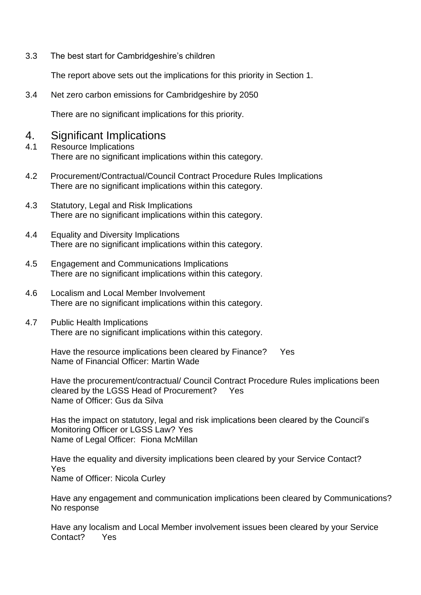3.3 The best start for Cambridgeshire's children

The report above sets out the implications for this priority in Section 1.

3.4 Net zero carbon emissions for Cambridgeshire by 2050

There are no significant implications for this priority.

### 4. Significant Implications

- 4.1 Resource Implications There are no significant implications within this category.
- 4.2 Procurement/Contractual/Council Contract Procedure Rules Implications There are no significant implications within this category.
- 4.3 Statutory, Legal and Risk Implications There are no significant implications within this category.
- 4.4 Equality and Diversity Implications There are no significant implications within this category.
- 4.5 Engagement and Communications Implications There are no significant implications within this category.
- 4.6 Localism and Local Member Involvement There are no significant implications within this category.
- 4.7 Public Health Implications There are no significant implications within this category.

Have the resource implications been cleared by Finance? Yes Name of Financial Officer: Martin Wade

Have the procurement/contractual/ Council Contract Procedure Rules implications been cleared by the LGSS Head of Procurement? Yes Name of Officer: Gus da Silva

Has the impact on statutory, legal and risk implications been cleared by the Council's Monitoring Officer or LGSS Law? Yes Name of Legal Officer: Fiona McMillan

Have the equality and diversity implications been cleared by your Service Contact? Yes Name of Officer: Nicola Curley

Have any engagement and communication implications been cleared by Communications? No response

Have any localism and Local Member involvement issues been cleared by your Service Contact? Yes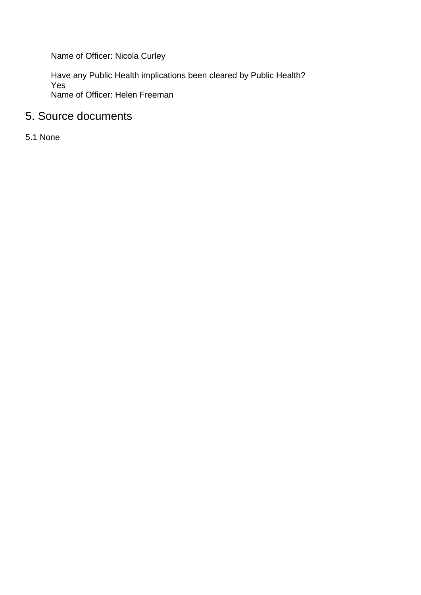Name of Officer: Nicola Curley

Have any Public Health implications been cleared by Public Health? Yes Name of Officer: Helen Freeman

# 5. Source documents

5.1 None